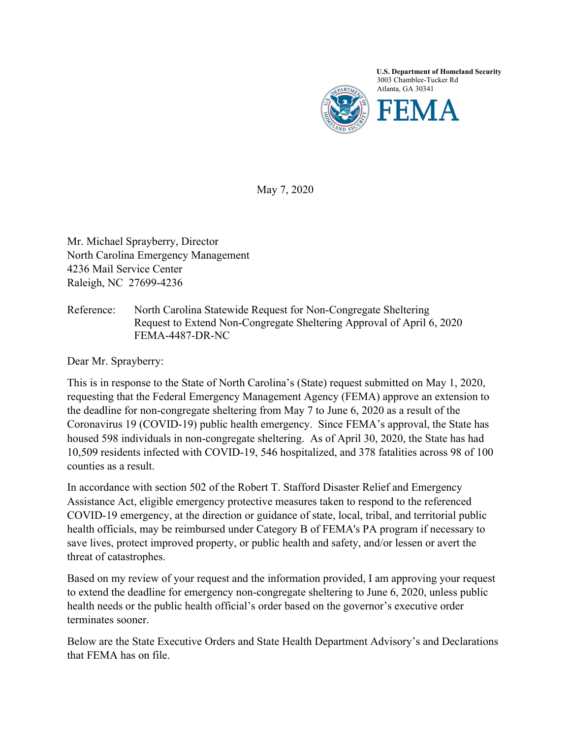

May 7, 2020

Mr. Michael Sprayberry, Director North Carolina Emergency Management 4236 Mail Service Center Raleigh, NC 27699-4236

Reference: North Carolina Statewide Request for Non-Congregate Sheltering Request to Extend Non-Congregate Sheltering Approval of April 6, 2020 FEMA-4487-DR-NC

Dear Mr. Sprayberry:

This is in response to the State of North Carolina's (State) request submitted on May 1, 2020, requesting that the Federal Emergency Management Agency (FEMA) approve an extension to the deadline for non-congregate sheltering from May 7 to June 6, 2020 as a result of the Coronavirus 19 (COVID-19) public health emergency. Since FEMA's approval, the State has housed 598 individuals in non-congregate sheltering. As of April 30, 2020, the State has had 10,509 residents infected with COVID-19, 546 hospitalized, and 378 fatalities across 98 of 100 counties as a result.

In accordance with section 502 of the Robert T. Stafford Disaster Relief and Emergency Assistance Act, eligible emergency protective measures taken to respond to the referenced COVID-19 emergency, at the direction or guidance of state, local, tribal, and territorial public health officials, may be reimbursed under Category B of FEMA's PA program if necessary to save lives, protect improved property, or public health and safety, and/or lessen or avert the threat of catastrophes.

Based on my review of your request and the information provided, I am approving your request to extend the deadline for emergency non-congregate sheltering to June 6, 2020, unless public health needs or the public health official's order based on the governor's executive order terminates sooner.

Below are the State Executive Orders and State Health Department Advisory's and Declarations that FEMA has on file.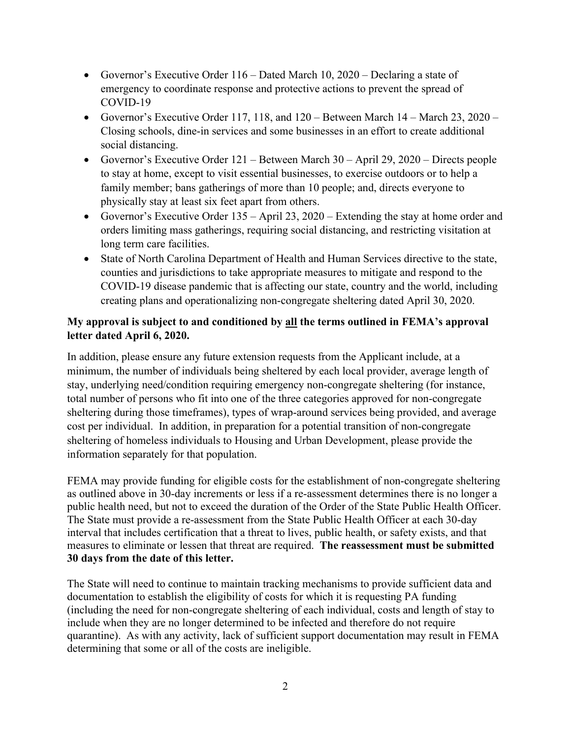- Governor's Executive Order  $116$  Dated March 10, 2020 Declaring a state of emergency to coordinate response and protective actions to prevent the spread of COVID-19
- Governor's Executive Order 117, 118, and  $120 -$  Between March 14 March 23, 2020 Closing schools, dine-in services and some businesses in an effort to create additional social distancing.
- Governor's Executive Order  $121$  Between March 30 April 29, 2020 Directs people to stay at home, except to visit essential businesses, to exercise outdoors or to help a family member; bans gatherings of more than 10 people; and, directs everyone to physically stay at least six feet apart from others.
- Governor's Executive Order  $135 -$ April 23, 2020 Extending the stay at home order and orders limiting mass gatherings, requiring social distancing, and restricting visitation at long term care facilities.
- State of North Carolina Department of Health and Human Services directive to the state, counties and jurisdictions to take appropriate measures to mitigate and respond to the COVID-19 disease pandemic that is affecting our state, country and the world, including creating plans and operationalizing non-congregate sheltering dated April 30, 2020.

## **My approval is subject to and conditioned by all the terms outlined in FEMA's approval letter dated April 6, 2020.**

In addition, please ensure any future extension requests from the Applicant include, at a minimum, the number of individuals being sheltered by each local provider, average length of stay, underlying need/condition requiring emergency non-congregate sheltering (for instance, total number of persons who fit into one of the three categories approved for non-congregate sheltering during those timeframes), types of wrap-around services being provided, and average cost per individual. In addition, in preparation for a potential transition of non-congregate sheltering of homeless individuals to Housing and Urban Development, please provide the information separately for that population.

FEMA may provide funding for eligible costs for the establishment of non-congregate sheltering as outlined above in 30-day increments or less if a re-assessment determines there is no longer a public health need, but not to exceed the duration of the Order of the State Public Health Officer. The State must provide a re-assessment from the State Public Health Officer at each 30-day interval that includes certification that a threat to lives, public health, or safety exists, and that measures to eliminate or lessen that threat are required. **The reassessment must be submitted 30 days from the date of this letter.**

The State will need to continue to maintain tracking mechanisms to provide sufficient data and documentation to establish the eligibility of costs for which it is requesting PA funding (including the need for non-congregate sheltering of each individual, costs and length of stay to include when they are no longer determined to be infected and therefore do not require quarantine). As with any activity, lack of sufficient support documentation may result in FEMA determining that some or all of the costs are ineligible.